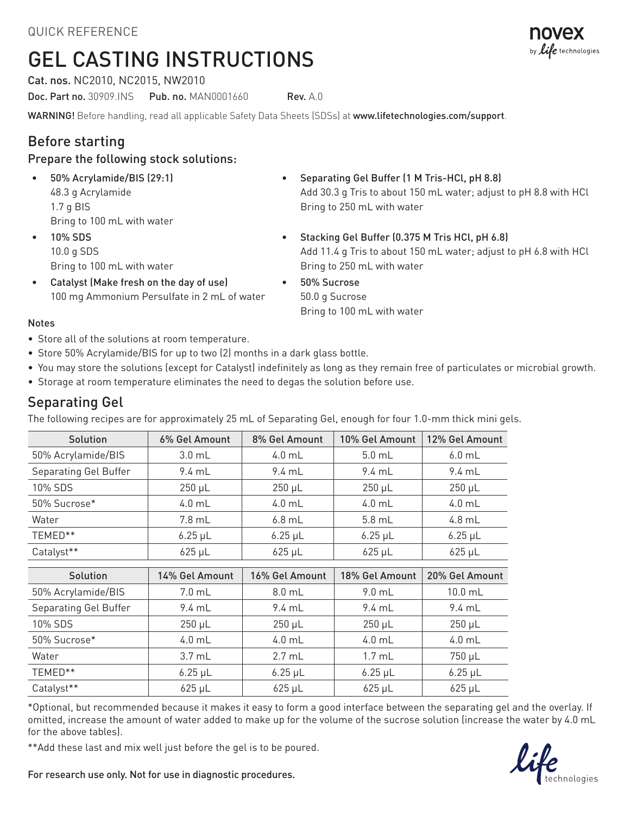# GEL CASTING INSTRUCTIONS

Cat. nos. NC2010, NC2015, NW2010

Doc. Part no. 30909.INS Pub. no. MAN0001660 Rev. A.0

WARNING! Before handling, read all applicable Safety Data Sheets (SDSs) at www.lifetechnologies.com/support.

## Before starting

#### Prepare the following stock solutions:

- 50% Acrylamide/BIS (29:1) 48.3 g Acrylamide 1.7 g BIS Bring to 100 mL with water
- 10% SDS 10.0 g SDS Bring to 100 mL with water
- Catalyst (Make fresh on the day of use) 100 mg Ammonium Persulfate in 2 mL of water
- Separating Gel Buffer (1 M Tris-HCl, pH 8.8) Add 30.3 g Tris to about 150 mL water; adjust to pH 8.8 with HCl Bring to 250 mL with water
- Stacking Gel Buffer (0.375 M Tris HCl, pH 6.8) Add 11.4 g Tris to about 150 mL water; adjust to pH 6.8 with HCl Bring to 250 mL with water
	- 50% Sucrose 50.0 g Sucrose Bring to 100 mL with water

#### Notes

- Store all of the solutions at room temperature.
- Store 50% Acrylamide/BIS for up to two (2) months in a dark glass bottle.
- You may store the solutions (except for Catalyst) indefinitely as long as they remain free of particulates or microbial growth.
- Storage at room temperature eliminates the need to degas the solution before use.

#### Separating Gel

The following recipes are for approximately 25 mL of Separating Gel, enough for four 1.0-mm thick mini gels.

| Solution              | 6% Gel Amount     | 8% Gel Amount     | 10% Gel Amount    | 12% Gel Amount   |
|-----------------------|-------------------|-------------------|-------------------|------------------|
| 50% Acrylamide/BIS    | $3.0 \text{ mL}$  | $4.0$ mL          | $5.0$ mL          | $6.0$ mL         |
| Separating Gel Buffer | $9.4 \text{ mL}$  | $9.4 \text{ mL}$  | $9.4 \text{ mL}$  | $9.4 \text{ mL}$ |
| 10% SDS               | $250 \mu L$       | $250 \mu L$       | $250 \mu L$       | $250 \mu L$      |
| 50% Sucrose*          | $4.0$ mL          | $4.0$ mL          | $4.0$ mL          | $4.0$ mL         |
| Water                 | $7.8$ mL          | $6.8$ mL          | $5.8$ mL          | 4.8 mL           |
| TEMED**               | $6.25 \mu L$      | $6.25 \mu L$      | $6.25 \mu L$      | $6.25 \mu L$     |
| Catalyst**            | $625 \mu L$       | $625 \mu L$       | $625 \mu L$       | $625 \mu L$      |
|                       |                   |                   |                   |                  |
| Solution              | $1/96$ Gel Amount | $16\%$ Gel Amount | $18\%$ Gel Amount | 20% Gel Amount   |

| Solution              | 14% Gel Amount    | 16% Gel Amount   | 18% Gel Amount    | 20% Gel Amount   |
|-----------------------|-------------------|------------------|-------------------|------------------|
| 50% Acrylamide/BIS    | $7.0 \text{ mL}$  | $8.0$ mL         | $9.0$ mL          | $10.0$ mL        |
| Separating Gel Buffer | $9.4 \text{ mL}$  | $9.4 \text{ mL}$ | 9.4 mL            | $9.4 \text{ mL}$ |
| 10% SDS               | $250 \mu L$       | $250 \mu L$      | $250 \mu L$       | $250 \mu L$      |
| 50% Sucrose*          | $4.0$ mL          | $4.0$ mL         | $4.0$ mL          | $4.0$ mL         |
| Water                 | 3.7 <sub>mL</sub> | $2.7 \text{ mL}$ | 1.7 <sub>mL</sub> | 750 µL           |
| TEMED**               | $6.25 \mu L$      | $6.25 \mu L$     | $6.25 \mu L$      | $6.25 \mu L$     |
| Catalyst**            | $625 \mu L$       | $625 \mu L$      | $625 \mu L$       | $625 \mu L$      |

\*Optional, but recommended because it makes it easy to form a good interface between the separating gel and the overlay. If omitted, increase the amount of water added to make up for the volume of the sucrose solution (increase the water by 4.0 mL for the above tables).

\*\*Add these last and mix well just before the gel is to be poured.